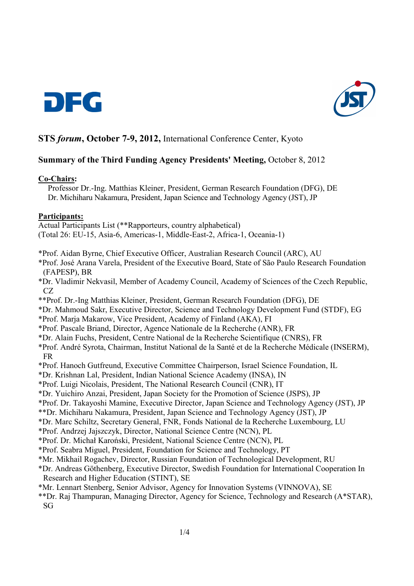



# **STS** *forum***, October 7-9, 2012,** International Conference Center, Kyoto

## **Summary of the Third Funding Agency Presidents' Meeting,** October 8, 2012

#### **Co-Chairs:**

Professor Dr.-Ing. Matthias Kleiner, President, German Research Foundation (DFG), DE Dr. Michiharu Nakamura, President, Japan Science and Technology Agency (JST), JP

#### **Participants:**

Actual Participants List (\*\*Rapporteurs, country alphabetical) (Total 26: EU-15, Asia-6, Americas-1, Middle-East-2, Africa-1, Oceania-1)

\*Prof. Aidan Byrne, Chief Executive Officer, Australian Research Council (ARC), AU

\*Prof. José Arana Varela, President of the Executive Board, State of São Paulo Research Foundation (FAPESP), BR

- \*Dr. Vladimir Nekvasil, Member of Academy Council, Academy of Sciences of the Czech Republic, CZ
- \*\*Prof. Dr.-Ing Matthias Kleiner, President, German Research Foundation (DFG), DE
- \*Dr. Mahmoud Sakr, Executive Director, Science and Technology Development Fund (STDF), EG
- \*Prof. Marja Makarow, Vice President, Academy of Finland (AKA), FI
- \*Prof. Pascale Briand, Director, Agence Nationale de la Recherche (ANR), FR
- \*Dr. Alain Fuchs, President, Centre National de la Recherche Scientifique (CNRS), FR
- \*Prof. André Syrota, Chairman, Institut National de la Santé et de la Recherche Médicale (INSERM), FR
- \*Prof. Hanoch Gutfreund, Executive Committee Chairperson, Israel Science Foundation, IL
- \*Dr. Krishnan Lal, President, Indian National Science Academy (INSA), IN
- \*Prof. Luigi Nicolais, President, The National Research Council (CNR), IT
- \*Dr. Yuichiro Anzai, President, Japan Society for the Promotion of Science (JSPS), JP
- \*Prof. Dr. Takayoshi Mamine, Executive Director, Japan Science and Technology Agency (JST), JP
- \*\*Dr. Michiharu Nakamura, President, Japan Science and Technology Agency (JST), JP
- \*Dr. Marc Schiltz, Secretary General, FNR, Fonds National de la Recherche Luxembourg, LU
- \*Prof. Andrzej Jajszczyk, Director, National Science Centre (NCN), PL
- \*Prof. Dr. Michał Karoński, President, National Science Centre (NCN), PL
- \*Prof. Seabra Miguel, President, Foundation for Science and Technology, PT
- \*Mr. Mikhail Rogachev, Director, Russian Foundation of Technological Development, RU
- \*Dr. Andreas Göthenberg, Executive Director, Swedish Foundation for International Cooperation In Research and Higher Education (STINT), SE
- \*Mr. Lennart Stenberg, Senior Advisor, Agency for Innovation Systems (VINNOVA), SE
- \*\*Dr. Raj Thampuran, Managing Director, Agency for Science, Technology and Research (A\*STAR), SG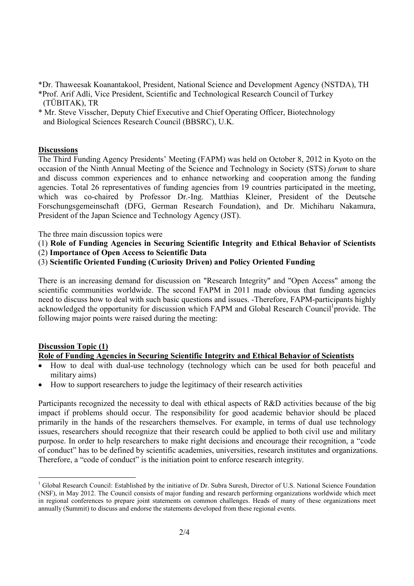\*Dr. Thaweesak Koanantakool, President, National Science and Development Agency (NSTDA), TH

- \*Prof. Arif Adli, Vice President, Scientific and Technological Research Council of Turkey (TÜBITAK), TR
- \* Mr. Steve Visscher, Deputy Chief Executive and Chief Operating Officer, Biotechnology and Biological Sciences Research Council (BBSRC), U.K.

### **Discussions**

The Third Funding Agency Presidents' Meeting (FAPM) was held on October 8, 2012 in Kyoto on the occasion of the Ninth Annual Meeting of the Science and Technology in Society (STS) *forum* to share and discuss common experiences and to enhance networking and cooperation among the funding agencies. Total 26 representatives of funding agencies from 19 countries participated in the meeting, which was co-chaired by Professor Dr.-Ing. Matthias Kleiner, President of the Deutsche Forschungsgemeinschaft (DFG, German Research Foundation), and Dr. Michiharu Nakamura, President of the Japan Science and Technology Agency (JST).

The three main discussion topics were

- (1) **Role of Funding Agencies in Securing Scientific Integrity and Ethical Behavior of Scientists**
- (2) **Importance of Open Access to Scientific Data**
- (3) **Scientific Oriented Funding (Curiosity Driven) and Policy Oriented Funding**

There is an increasing demand for discussion on "Research Integrity" and "Open Access" among the scientific communities worldwide. The second FAPM in 2011 made obvious that funding agencies need to discuss how to deal with such basic questions and issues. -Therefore, FAPM-participants highly acknowledged the opportunity for discussion which FAPM and Global Research Council<sup>1</sup> provide. The following major points were raised during the meeting:

## **Discussion Topic (1)**

## **Role of Funding Agencies in Securing Scientific Integrity and Ethical Behavior of Scientists**

- How to deal with dual-use technology (technology which can be used for both peaceful and military aims)
- How to support researchers to judge the legitimacy of their research activities

Participants recognized the necessity to deal with ethical aspects of R&D activities because of the big impact if problems should occur. The responsibility for good academic behavior should be placed primarily in the hands of the researchers themselves. For example, in terms of dual use technology issues, researchers should recognize that their research could be applied to both civil use and military purpose. In order to help researchers to make right decisions and encourage their recognition, a "code of conduct" has to be defined by scientific academies, universities, research institutes and organizations. Therefore, a "code of conduct" is the initiation point to enforce research integrity.

 1 Global Research Council: Established by the initiative of Dr. Subra Suresh, Director of U.S. National Science Foundation (NSF), in May 2012. The Council consists of major funding and research performing organizations worldwide which meet in regional conferences to prepare joint statements on common challenges. Heads of many of these organizations meet annually (Summit) to discuss and endorse the statements developed from these regional events.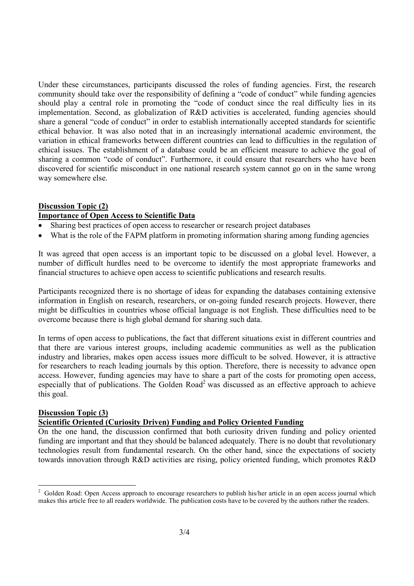Under these circumstances, participants discussed the roles of funding agencies. First, the research community should take over the responsibility of defining a "code of conduct" while funding agencies should play a central role in promoting the "code of conduct since the real difficulty lies in its implementation. Second, as globalization of R&D activities is accelerated, funding agencies should share a general "code of conduct" in order to establish internationally accepted standards for scientific ethical behavior. It was also noted that in an increasingly international academic environment, the variation in ethical frameworks between different countries can lead to difficulties in the regulation of ethical issues. The establishment of a database could be an efficient measure to achieve the goal of sharing a common "code of conduct". Furthermore, it could ensure that researchers who have been discovered for scientific misconduct in one national research system cannot go on in the same wrong way somewhere else.

# **Discussion Topic (2) Importance of Open Access to Scientific Data**

- Sharing best practices of open access to researcher or research project databases
- What is the role of the FAPM platform in promoting information sharing among funding agencies

It was agreed that open access is an important topic to be discussed on a global level. However, a number of difficult hurdles need to be overcome to identify the most appropriate frameworks and financial structures to achieve open access to scientific publications and research results.

Participants recognized there is no shortage of ideas for expanding the databases containing extensive information in English on research, researchers, or on-going funded research projects. However, there might be difficulties in countries whose official language is not English. These difficulties need to be overcome because there is high global demand for sharing such data.

In terms of open access to publications, the fact that different situations exist in different countries and that there are various interest groups, including academic communities as well as the publication industry and libraries, makes open access issues more difficult to be solved. However, it is attractive for researchers to reach leading journals by this option. Therefore, there is necessity to advance open access. However, funding agencies may have to share a part of the costs for promoting open access, especially that of publications. The Golden Road<sup>2</sup> was discussed as an effective approach to achieve this goal.

#### **Discussion Topic (3)**

#### **Scientific Oriented (Curiosity Driven) Funding and Policy Oriented Funding**

On the one hand, the discussion confirmed that both curiosity driven funding and policy oriented funding are important and that they should be balanced adequately. There is no doubt that revolutionary technologies result from fundamental research. On the other hand, since the expectations of society towards innovation through R&D activities are rising, policy oriented funding, which promotes R&D

<sup>&</sup>lt;sup>2</sup> Golden Road: Open Access approach to encourage researchers to publish his/her article in an open access journal which makes this article free to all readers worldwide. The publication costs have to be covered by the authors rather the readers.